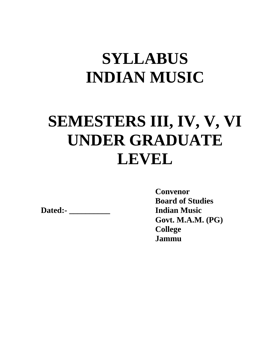# **SYLLABUS INDIAN MUSIC**

# **SEMESTERS III, IV, V, VI UNDER GRADUATE LEVEL**

**Dated:- \_\_\_\_\_\_\_\_\_\_ Indian Music** 

**Convenor Board of Studies Govt. M.A.M. (PG) College Jammu**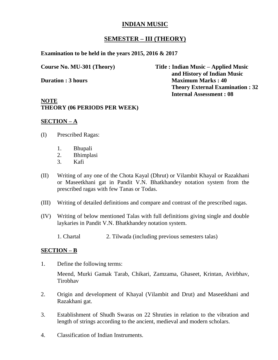## **SEMESTER – III (THEORY)**

**Examination to be held in the years 2015, 2016 & 2017**

**Course No. MU-301 (Theory) Title : Indian Music – Applied Music and History of Indian Music Duration : 3 hours** Maximum Marks : 40 **Theory External Examination : 32 Internal Assessment : 08**

#### **NOTE THEORY (06 PERIODS PER WEEK)**

#### **SECTION – A**

- (I) Prescribed Ragas:
	- 1. Bhupali
	- 2. Bhimplasi
	- 3. Kafi
- (II) Writing of any one of the Chota Kayal (Dhrut) or Vilambit Khayal or Razakhani or Maseetkhani gat in Pandit V.N. Bhatkhandey notation system from the prescribed ragas with few Tanas or Todas.
- (III) Writing of detailed definitions and compare and contrast of the prescribed ragas.
- (IV) Writing of below mentioned Talas with full definitions giving single and double laykaries in Pandit V.N. Bhatkhandey notation system.
	- 1. Chartal 2. Tilwada (including previous semesters talas)

#### **SECTION – B**

1. Define the following terms:

Meend, Murki Gamak Tarab, Chikari, Zamzama, Ghaseet, Krintan, Avirbhav, Tirobhav

- 2. Origin and development of Khayal (Vilambit and Drut) and Maseetkhani and Razakhani gat.
- 3. Establishment of Shudh Swaras on 22 Shruties in relation to the vibration and length of strings according to the ancient, medieval and modern scholars.
- 4. Classification of Indian Instruments.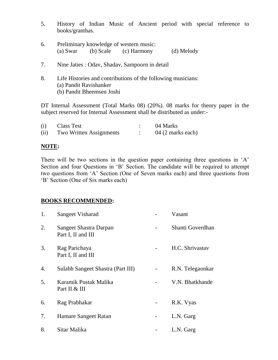- 5. History of Indian Music of Ancient period with special reference to books/granthas.
- 6. Preliminary knowledge of western music: (a) Swar (b) Scale (c) Harmony (d) Melody
- 7. Nine Jaties : Odav, Shadav, Sampoorn in detail
- 8. Life Histories and contributions of the following musicians: (a) Pandit Ravishanker (b) Pandit Bheemsen Joshi

DT Internal Assessment (Total Marks 08) (20%). 08 marks for theory paper in the subject reserved for Internal Assessment shall be distributed as under:-

| (i)  | Class Test              | 04 Marks          |
|------|-------------------------|-------------------|
| (ii) | Two Written Assignments | 04 (2 marks each) |

## **NOTE:**

There will be two sections in the question paper containing three questions in 'A' Section and four Questions in 'B' Section. The candidate will be required to attempt two questions from 'A' Section (One of Seven marks each) and three questions from 'B' Section (One of Six marks each)

| 1. | Sangeet Visharad                             |   | Vasant           |
|----|----------------------------------------------|---|------------------|
| 2. | Sangeet Shastra Darpan<br>Part I, II and III |   | Shanti Goverdhan |
| 3. | Rag Parichaya<br>Part I, II and III          |   | H.C. Shrivastav  |
| 4. | Sulabh Sangeet Shastra (Part III)            |   | R.N. Telegaonkar |
| 5. | Karamik Pustak Malika<br>Part II & III       |   | V.N. Bhatkhande  |
| 6. | Rag Prabhakar                                |   | R.K. Vyas        |
| 7. | Hamare Sangeet Ratan                         | - | L.N. Garg        |
| 8. | Sitar Malika                                 |   | L.N. Garg        |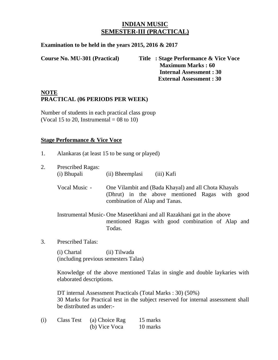# **INDIAN MUSIC SEMESTER-III (PRACTICAL)**

**Examination to be held in the years 2015, 2016 & 2017**

**Course No. MU-301 (Practical) Title : Stage Performance & Vice Voce Maximum Marks : 60 Internal Assessment : 30 External Assessment : 30**

## **NOTE PRACTICAL (06 PERIODS PER WEEK)**

Number of students in each practical class group (Vocal 15 to 20, Instrumental =  $08$  to 10)

#### **Stage Performance & Vice Voce**

- 1. Alankaras (at least 15 to be sung or played)
- 2. Prescribed Ragas: (i) Bhupali (ii) Bheemplasi (iii) Kafi Vocal Music - One Vilambit and (Bada Khayal) and all Chota Khayals (Dhrut) in the above mentioned Ragas with good combination of Alap and Tanas. Instrumental Music- One Maseetkhani and all Razakhani gat in the above mentioned Ragas with good combination of Alap and Todas.
- 3. Prescribed Talas:

(i) Chartal (ii) Tilwada (including previous semesters Talas)

Knowledge of the above mentioned Talas in single and double laykaries with elaborated descriptions.

DT internal Assessment Practicals (Total Marks : 30) (50%) 30 Marks for Practical test in the subject reserved for internal assessment shall be distributed as under:-

(i) Class Test (a) Choice Rag 15 marks (b) Vice Voca 10 marks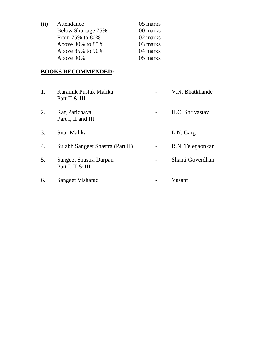| (11) | Attendance         | 05 marks |
|------|--------------------|----------|
|      | Below Shortage 75% | 00 marks |
|      | From 75% to 80%    | 02 marks |
|      | Above 80% to 85%   | 03 marks |
|      | Above 85% to 90%   | 04 marks |
|      | Above 90%          | 05 marks |

| 1. | Karamik Pustak Malika<br>Part II & III     | V.N. Bhatkhande  |
|----|--------------------------------------------|------------------|
| 2. | Rag Parichaya<br>Part I, II and III        | H.C. Shrivastav  |
| 3. | Sitar Malika                               | L.N. Garg        |
| 4. | Sulabh Sangeet Shastra (Part II)           | R.N. Telegaonkar |
| 5. | Sangeet Shastra Darpan<br>Part I, II & III | Shanti Goverdhan |
| 6. | Sangeet Visharad                           | Vasant           |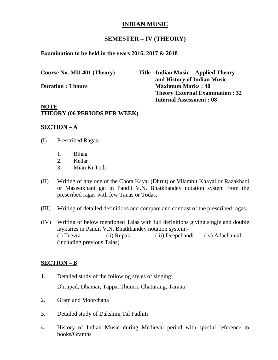## **SEMESTER – IV (THEORY)**

**Examination to be held in the years 2016, 2017 & 2018**

**Course No. MU-401 (Theory) Title : Indian Music – Applied Theory and History of Indian Music Duration : 3 hours** Maximum Marks : 40 **Theory External Examination : 32 Internal Assessment : 08**

#### **NOTE THEORY (06 PERIODS PER WEEK)**

#### **SECTION – A**

- (I) Prescribed Ragas:
	- 1. Bihag
	- 2. Kedar
	- 3. Mian Ki Todi
- (II) Writing of any one of the Chota Kayal (Dhrut) or Vilambit Khayal or Razakhani or Maseetkhani gat in Pandit V.N. Bhatkhandey notation system from the prescribed ragas with few Tanas or Todas.
- (III) Writing of detailed definitions and compare and contrast of the prescribed ragas.
- (IV) Writing of below mentioned Talas with full definitions giving single and double laykaries in Pandit V.N. Bhatkhandey notation system:- (i) Teevra (ii) Rupak (iii) Deepchandi (iv) Adachantal (including previous Talas)

#### **SECTION – B**

- 1. Detailed study of the following styles of singing: Dhrupad, Dhamar, Tappa, Thumri, Chaturang, Tarana
- 2. Gram and Moorchana
- 3. Detailed study of Dakshini Tal Padhiti
- 4. History of Indian Music during Medieval period with special reference to books/Granths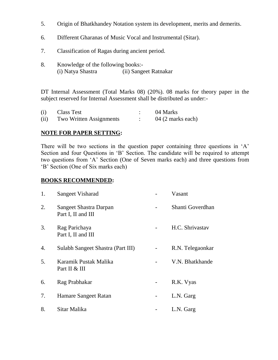- 5. Origin of Bhatkhandey Notation system its development, merits and demerits.
- 6. Different Gharanas of Music Vocal and Instrumental (Sitar).
- 7. Classification of Ragas during ancient period.
- 8. Knowledge of the following books:- (i) Natya Shastra (ii) Sangeet Ratnakar

DT Internal Assessment (Total Marks 08) (20%). 08 marks for theory paper in the subject reserved for Internal Assessment shall be distributed as under:-

| (i)  | Class Test              | 04 Marks          |
|------|-------------------------|-------------------|
| (ii) | Two Written Assignments | 04 (2 marks each) |

#### **NOTE FOR PAPER SETTING:**

There will be two sections in the question paper containing three questions in 'A' Section and four Questions in 'B' Section. The candidate will be required to attempt two questions from 'A' Section (One of Seven marks each) and three questions from 'B' Section (One of Six marks each)

| 1. | Sangeet Visharad                             | Vasant           |
|----|----------------------------------------------|------------------|
| 2. | Sangeet Shastra Darpan<br>Part I, II and III | Shanti Goverdhan |
| 3. | Rag Parichaya<br>Part I, II and III          | H.C. Shrivastav  |
| 4. | Sulabh Sangeet Shastra (Part III)            | R.N. Telegaonkar |
| 5. | Karamik Pustak Malika<br>Part II & III       | V.N. Bhatkhande  |
| 6. | Rag Prabhakar                                | R.K. Vyas        |
| 7. | Hamare Sangeet Ratan                         | L.N. Garg        |
| 8. | Sitar Malika                                 | L.N. Garg        |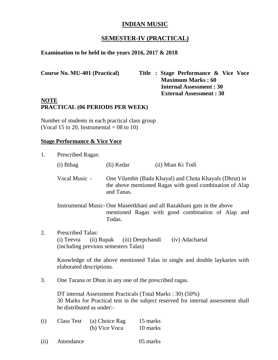# **SEMESTER-IV (PRACTICAL)**

### **Examination to be held in the years 2016, 2017 & 2018**

| <b>Course No. MU-401 (Practical)</b> | Title : Stage Performance & Vice Voce |
|--------------------------------------|---------------------------------------|
|                                      | <b>Maximum Marks: 60</b>              |
|                                      | <b>Internal Assessment: 30</b>        |
|                                      | <b>External Assessment: 30</b>        |

## **NOTE PRACTICAL (06 PERIODS PER WEEK)**

Number of students in each practical class group (Vocal 15 to 20, Instrumental =  $08$  to 10)

#### **Stage Performance & Vice Voce**

| 1.  | Prescribed Ragas:                      |                                                    |                                                                                                                                                |
|-----|----------------------------------------|----------------------------------------------------|------------------------------------------------------------------------------------------------------------------------------------------------|
|     | $(i)$ Bihag                            | (Ii) Kedar                                         | (ii) Mian Ki Todi                                                                                                                              |
|     | Vocal Music -                          | and Tanas.                                         | One Vilambit (Bada Khayal) and Chota Khayals (Dhrut) in<br>the above mentioned Ragas with good combination of Alap                             |
|     |                                        | Todas.                                             | Instrumental Music-One Maseetkhani and all Razakhani gats in the above<br>mentioned Ragas with good combination of Alap and                    |
| 2.  | <b>Prescribed Talas:</b><br>(i) Teevra | (ii) Rupak<br>(including previous semesters Talas) | (iv) Adachartal<br>(iii) Deepchandi                                                                                                            |
|     | elaborated descriptions.               |                                                    | Knowledge of the above mentioned Talas in single and double laykaries with                                                                     |
| 3.  |                                        |                                                    | One Tarana or Dhun in any one of the prescribed ragas.                                                                                         |
|     | be distributed as under:-              |                                                    | DT internal Assessment Practicals (Total Marks: 30) (50%)<br>30 Marks for Practical test in the subject reserved for internal assessment shall |
| (i) | <b>Class Test</b>                      | (a) Choice Rag<br>(b) Vice Voca                    | 15 marks<br>10 marks                                                                                                                           |

| (ii) | Attendance | 05 marks |
|------|------------|----------|
|------|------------|----------|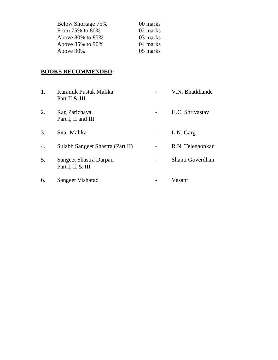| Below Shortage 75%     | 00 marks |
|------------------------|----------|
| From 75% to 80%        | 02 marks |
| Above $80\%$ to $85\%$ | 03 marks |
| Above 85% to 90%       | 04 marks |
| Above 90%              | 05 marks |

| 1. | Karamik Pustak Malika<br>Part II & III     | V.N. Bhatkhande  |
|----|--------------------------------------------|------------------|
| 2. | Rag Parichaya<br>Part I, II and III        | H.C. Shrivastav  |
| 3. | Sitar Malika                               | L.N. Garg        |
| 4. | Sulabh Sangeet Shastra (Part II)           | R.N. Telegaonkar |
| 5. | Sangeet Shastra Darpan<br>Part I, II & III | Shanti Goverdhan |
| 6. | Sangeet Visharad                           | Vasant           |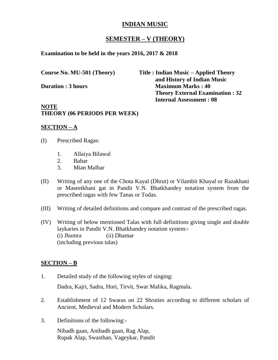#### **SEMESTER – V (THEORY)**

**Examination to be held in the years 2016, 2017 & 2018**

**Course No. MU-501 (Theory) Title : Indian Music – Applied Theory and History of Indian Music Duration : 3 hours** Maximum Marks : 40 **Theory External Examination : 32 Internal Assessment : 08**

#### **NOTE THEORY (06 PERIODS PER WEEK)**

#### **SECTION – A**

- (I) Prescribed Ragas:
	- 1. Allaiya Bilawal
	- 2. Bahar
	- 3. Mian Malhar
- (II) Writing of any one of the Chota Kayal (Dhrut) or Vilambit Khayal or Razakhani or Maseetkhani gat in Pandit V.N. Bhatkhandey notation system from the prescribed ragas with few Tanas or Todas.
- (III) Writing of detailed definitions and compare and contrast of the prescribed ragas.
- (IV) Writing of below mentioned Talas with full definitions giving single and double laykaries in Pandit V.N. Bhatkhandey notation system:- (i) Jhumra (ii) Dhamar (including previous talas)

#### **SECTION – B**

- 1. Detailed study of the following styles of singing: Dadra, Kajri, Sadra, Hori, Tirvit, Swar Malika, Ragmala.
- 2. Establishment of 12 Swaras on 22 Shruties according to different scholars of Ancient, Medieval and Modern Scholars.
- 3. Definitions of the following:-

Nibadh gaan, Anibadh gaan, Rag Alap, Rupak Alap, Swasthan, Vageykar, Pandit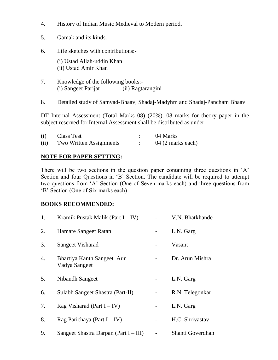- 4. History of Indian Music Medieval to Modern period.
- 5. Gamak and its kinds.
- 6. Life sketches with contributions:-

(i) Ustad Allah-uddin Khan (ii) Ustad Amir Khan

- 7. Knowledge of the following books:- (i) Sangeet Parijat (ii) Ragtarangini
- 8. Detailed study of Samvad-Bhaav, Shadaj-Madyhm and Shadaj-Pancham Bhaav.

DT Internal Assessment (Total Marks 08) (20%). 08 marks for theory paper in the subject reserved for Internal Assessment shall be distributed as under:-

| (i)  | <b>Class Test</b>       | 04 Marks          |
|------|-------------------------|-------------------|
| (ii) | Two Written Assignments | 04 (2 marks each) |

## **NOTE FOR PAPER SETTING:**

There will be two sections in the question paper containing three questions in 'A' Section and four Questions in 'B' Section. The candidate will be required to attempt two questions from 'A' Section (One of Seven marks each) and three questions from 'B' Section (One of Six marks each)

| 1. | Kramik Pustak Malik (Part $I - IV$ )        | V.N. Bhatkhande  |
|----|---------------------------------------------|------------------|
| 2. | Hamare Sangeet Ratan                        | L.N. Garg        |
| 3. | Sangeet Visharad                            | Vasant           |
| 4. | Bhartiya Kanth Sangeet Aur<br>Vadya Sangeet | Dr. Arun Mishra  |
| 5. | Nibandh Sangeet                             | L.N. Garg        |
| 6. | Sulabh Sangeet Shastra (Part-II)            | R.N. Telegonkar  |
| 7. | Rag Visharad (Part $I - IV$ )               | L.N. Garg        |
| 8. | Rag Parichaya (Part $I - IV$ )              | H.C. Shrivastav  |
| 9. | Sangeet Shastra Darpan (Part $I - III$ )    | Shanti Goverdhan |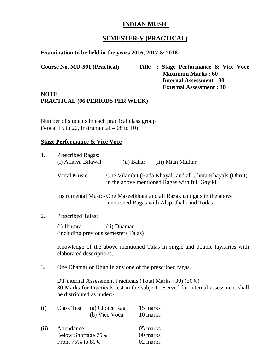# **SEMESTER-V (PRACTICAL)**

## **Examination to be held in the years 2016, 2017 & 2018**

**Course No. MU-501 (Practical) Title : Stage Performance & Vice Voce Maximum Marks : 60 Internal Assessment : 30 External Assessment : 30**

#### **NOTE PRACTICAL (06 PERIODS PER WEEK)**

Number of students in each practical class group (Vocal 15 to 20, Instrumental =  $08$  to 10)

#### **Stage Performance & Vice Voce**

| 1.            | <b>Prescribed Ragas:</b><br>(i) Allaiya Bilawal                                                                                                                                                                                        |                                                                                                        | (ii) Bahar  | (iii) Mian Malhar                                                                                                     |  |  |
|---------------|----------------------------------------------------------------------------------------------------------------------------------------------------------------------------------------------------------------------------------------|--------------------------------------------------------------------------------------------------------|-------------|-----------------------------------------------------------------------------------------------------------------------|--|--|
| Vocal Music - |                                                                                                                                                                                                                                        |                                                                                                        |             | One Vilambit (Bada Khayal) and all Chota Khayals (Dhrut)<br>in the above mentioned Ragas with full Gayiki.            |  |  |
|               |                                                                                                                                                                                                                                        |                                                                                                        |             | Instrumental Music-One Maseetkhani and all Razakhani gats in the above<br>mentioned Ragas with Alap, Jhala and Todas. |  |  |
| 2.            | <b>Prescribed Talas:</b>                                                                                                                                                                                                               |                                                                                                        |             |                                                                                                                       |  |  |
|               | (i) Jhumra<br>(including previous semesters Talas)                                                                                                                                                                                     |                                                                                                        | (ii) Dhamar |                                                                                                                       |  |  |
|               |                                                                                                                                                                                                                                        | Knowledge of the above mentioned Talas in single and double laykaries with<br>elaborated descriptions. |             |                                                                                                                       |  |  |
| 3.            | One Dhamar or Dhun in any one of the prescribed ragas.<br>DT internal Assessment Practicals (Total Marks: 30) (50%)<br>30 Marks for Practicals test in the subject reserved for internal assessment shall<br>be distributed as under:- |                                                                                                        |             |                                                                                                                       |  |  |
|               |                                                                                                                                                                                                                                        |                                                                                                        |             |                                                                                                                       |  |  |
| (i)           | <b>Class Test</b>                                                                                                                                                                                                                      | (a) Choice Rag                                                                                         |             | 15 marks                                                                                                              |  |  |
|               |                                                                                                                                                                                                                                        | (b) Vice Voca                                                                                          |             | 10 marks                                                                                                              |  |  |
| (ii)          | Attendance                                                                                                                                                                                                                             |                                                                                                        |             | 05 marks                                                                                                              |  |  |
|               | Below Shortage 75%                                                                                                                                                                                                                     |                                                                                                        |             | 00 marks                                                                                                              |  |  |
|               | From 75% to 80%                                                                                                                                                                                                                        |                                                                                                        |             | 02 marks                                                                                                              |  |  |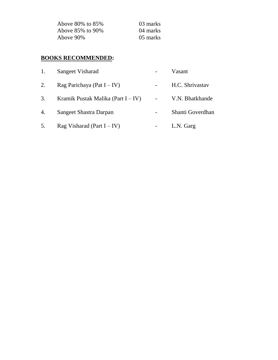| Above 80% to 85% | 03 marks |
|------------------|----------|
| Above 85% to 90% | 04 marks |
| Above 90%        | 05 marks |

| 1.               | Sangeet Visharad                      | Vasant           |
|------------------|---------------------------------------|------------------|
| 2.               | Rag Parichaya (Pat $I - IV$ )         | H.C. Shrivastav  |
| 3.               | Kramik Pustak Malika (Part $I - IV$ ) | V.N. Bhatkhande  |
| $\overline{4}$ . | Sangeet Shastra Darpan                | Shanti Goverdhan |
| 5.               | Rag Visharad (Part $I - IV$ )         | L.N. Garg        |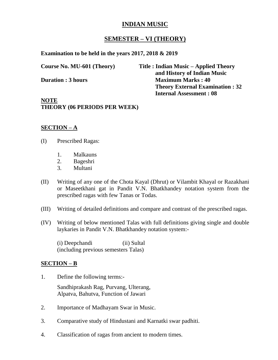# **SEMESTER – VI (THEORY)**

**Examination to be held in the years 2017, 2018 & 2019**

**Course No. MU-601 (Theory) Title : Indian Music – Applied Theory and History of Indian Music Duration : 3 hours Maximum Marks : 40 Theory External Examination : 32 Internal Assessment : 08**

**NOTE THEORY (06 PERIODS PER WEEK)**

## **SECTION – A**

- (I) Prescribed Ragas:
	- 1. Malkauns
	- 2. Bageshri
	- 3. Multani
- (II) Writing of any one of the Chota Kayal (Dhrut) or Vilambit Khayal or Razakhani or Maseetkhani gat in Pandit V.N. Bhatkhandey notation system from the prescribed ragas with few Tanas or Todas.
- (III) Writing of detailed definitions and compare and contrast of the prescribed ragas.
- (IV) Writing of below mentioned Talas with full definitions giving single and double laykaries in Pandit V.N. Bhatkhandey notation system:-

(i) Deepchandi (ii) Sultal (including previous semesters Talas)

#### **SECTION – B**

1. Define the following terms:-

Sandhiprakash Rag, Purvang, Ulterang, Alpatva, Bahutva, Function of Jawari

- 2. Importance of Madhayam Swar in Music.
- 3. Comparative study of Hindustani and Karnatki swar padhiti.
- 4. Classification of ragas from ancient to modern times.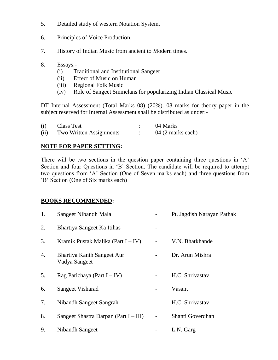- 5. Detailed study of western Notation System.
- 6. Principles of Voice Production.
- 7. History of Indian Music from ancient to Modern times.
- 8. Essays:-
	- (i) Traditional and Institutional Sangeet
	- (ii) Effect of Music on Human
	- (iii) Regional Folk Music
	- (iv) Role of Sangeet Smmelans for popularizing Indian Classical Music

DT Internal Assessment (Total Marks 08) (20%). 08 marks for theory paper in the subject reserved for Internal Assessment shall be distributed as under:-

| (i)  | Class Test              | 04 Marks          |
|------|-------------------------|-------------------|
| (ii) | Two Written Assignments | 04 (2 marks each) |

#### **NOTE FOR PAPER SETTING:**

There will be two sections in the question paper containing three questions in 'A' Section and four Questions in 'B' Section. The candidate will be required to attempt two questions from 'A' Section (One of Seven marks each) and three questions from 'B' Section (One of Six marks each)

| 1. | Sangeet Nibandh Mala                        | Pt. Jagdish Narayan Pathak |
|----|---------------------------------------------|----------------------------|
| 2. | Bhartiya Sangeet Ka Itihas                  |                            |
| 3. | Kramik Pustak Malika (Part $I - IV$ )       | V.N. Bhatkhande            |
| 4. | Bhartiya Kanth Sangeet Aur<br>Vadya Sangeet | Dr. Arun Mishra            |
| 5. | Rag Parichaya (Part $I - IV$ )              | H.C. Shrivastav            |
| 6. | Sangeet Visharad                            | Vasant                     |
| 7. | Nibandh Sangeet Sangrah                     | H.C. Shrivastav            |
| 8. | Sangeet Shastra Darpan (Part $I - III$ )    | Shanti Goverdhan           |
| 9. | Nibandh Sangeet                             | L.N. Garg                  |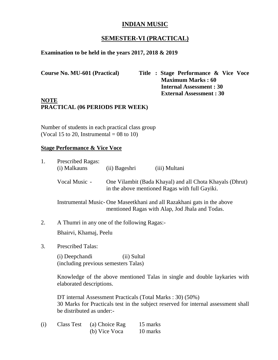# **SEMESTER-VI (PRACTICAL)**

#### **Examination to be held in the years 2017, 2018 & 2019**

**Course No. MU-601 (Practical) Title : Stage Performance & Vice Voce Maximum Marks : 60 Internal Assessment : 30 External Assessment : 30**

# **NOTE PRACTICAL (06 PERIODS PER WEEK)**

Number of students in each practical class group (Vocal 15 to 20, Instrumental =  $08$  to 10)

#### **Stage Performance & Vice Voce**

| 1.  | <b>Prescribed Ragas:</b><br>(i) Malkauns               | (ii) Bageshri                                | (iii) Multani                                                                                                                                   |  |
|-----|--------------------------------------------------------|----------------------------------------------|-------------------------------------------------------------------------------------------------------------------------------------------------|--|
|     | Vocal Music -                                          |                                              | One Vilambit (Bada Khayal) and all Chota Khayals (Dhrut)<br>in the above mentioned Ragas with full Gayiki.                                      |  |
|     |                                                        |                                              | Instrumental Music-One Maseetkhani and all Razakhani gats in the above<br>mentioned Ragas with Alap, Jod Jhala and Todas.                       |  |
| 2.  |                                                        | A Thumri in any one of the following Ragas:- |                                                                                                                                                 |  |
|     | Bhairvi, Khamaj, Peelu                                 |                                              |                                                                                                                                                 |  |
| 3.  | <b>Prescribed Talas:</b>                               |                                              |                                                                                                                                                 |  |
|     | (i) Deepchandi<br>(including previous semesters Talas) | (ii) Sultal                                  |                                                                                                                                                 |  |
|     | elaborated descriptions.                               |                                              | Knowledge of the above mentioned Talas in single and double laykaries with                                                                      |  |
|     | be distributed as under:-                              |                                              | DT internal Assessment Practicals (Total Marks: 30) (50%)<br>30 Marks for Practicals test in the subject reserved for internal assessment shall |  |
| (1) |                                                        | $Cloce$ Tost (a) Choice $D_{0x} = 15$ morks  |                                                                                                                                                 |  |

| (i) | Class Test | (a) Choice Rag | 15 marks |
|-----|------------|----------------|----------|
|     |            | (b) Vice Voca  | 10 marks |